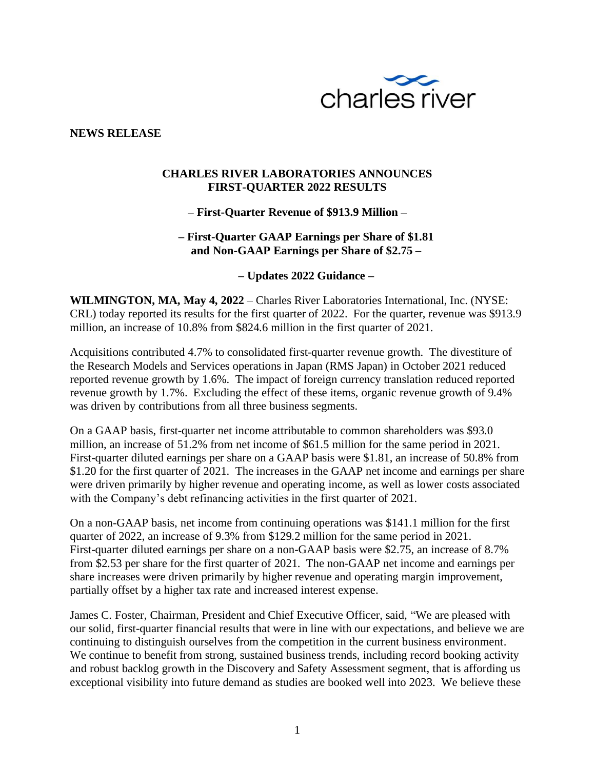

**NEWS RELEASE**

# **CHARLES RIVER LABORATORIES ANNOUNCES FIRST-QUARTER 2022 RESULTS**

# **– First-Quarter Revenue of \$913.9 Million –**

# **– First-Quarter GAAP Earnings per Share of \$1.81 and Non-GAAP Earnings per Share of \$2.75 –**

**– Updates 2022 Guidance –**

**WILMINGTON, MA, May 4, 2022** – Charles River Laboratories International, Inc. (NYSE: CRL) today reported its results for the first quarter of 2022. For the quarter, revenue was \$913.9 million, an increase of 10.8% from \$824.6 million in the first quarter of 2021.

Acquisitions contributed 4.7% to consolidated first-quarter revenue growth. The divestiture of the Research Models and Services operations in Japan (RMS Japan) in October 2021 reduced reported revenue growth by 1.6%. The impact of foreign currency translation reduced reported revenue growth by 1.7%. Excluding the effect of these items, organic revenue growth of 9.4% was driven by contributions from all three business segments.

On a GAAP basis, first-quarter net income attributable to common shareholders was \$93.0 million, an increase of 51.2% from net income of \$61.5 million for the same period in 2021. First-quarter diluted earnings per share on a GAAP basis were \$1.81, an increase of 50.8% from \$1.20 for the first quarter of 2021. The increases in the GAAP net income and earnings per share were driven primarily by higher revenue and operating income, as well as lower costs associated with the Company's debt refinancing activities in the first quarter of 2021.

On a non-GAAP basis, net income from continuing operations was \$141.1 million for the first quarter of 2022, an increase of 9.3% from \$129.2 million for the same period in 2021. First-quarter diluted earnings per share on a non-GAAP basis were \$2.75, an increase of 8.7% from \$2.53 per share for the first quarter of 2021. The non-GAAP net income and earnings per share increases were driven primarily by higher revenue and operating margin improvement, partially offset by a higher tax rate and increased interest expense.

James C. Foster, Chairman, President and Chief Executive Officer, said, "We are pleased with our solid, first-quarter financial results that were in line with our expectations, and believe we are continuing to distinguish ourselves from the competition in the current business environment. We continue to benefit from strong, sustained business trends, including record booking activity and robust backlog growth in the Discovery and Safety Assessment segment, that is affording us exceptional visibility into future demand as studies are booked well into 2023. We believe these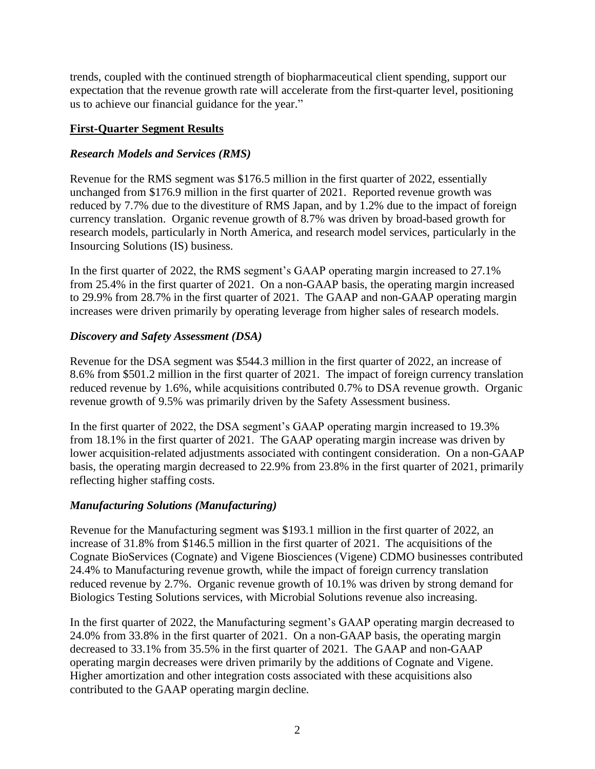trends, coupled with the continued strength of biopharmaceutical client spending, support our expectation that the revenue growth rate will accelerate from the first-quarter level, positioning us to achieve our financial guidance for the year."

# **First-Quarter Segment Results**

# *Research Models and Services (RMS)*

Revenue for the RMS segment was \$176.5 million in the first quarter of 2022, essentially unchanged from \$176.9 million in the first quarter of 2021. Reported revenue growth was reduced by 7.7% due to the divestiture of RMS Japan, and by 1.2% due to the impact of foreign currency translation. Organic revenue growth of 8.7% was driven by broad-based growth for research models, particularly in North America, and research model services, particularly in the Insourcing Solutions (IS) business.

In the first quarter of 2022, the RMS segment's GAAP operating margin increased to 27.1% from 25.4% in the first quarter of 2021. On a non-GAAP basis, the operating margin increased to 29.9% from 28.7% in the first quarter of 2021. The GAAP and non-GAAP operating margin increases were driven primarily by operating leverage from higher sales of research models.

# *Discovery and Safety Assessment (DSA)*

Revenue for the DSA segment was \$544.3 million in the first quarter of 2022, an increase of 8.6% from \$501.2 million in the first quarter of 2021. The impact of foreign currency translation reduced revenue by 1.6%, while acquisitions contributed 0.7% to DSA revenue growth. Organic revenue growth of 9.5% was primarily driven by the Safety Assessment business.

In the first quarter of 2022, the DSA segment's GAAP operating margin increased to 19.3% from 18.1% in the first quarter of 2021. The GAAP operating margin increase was driven by lower acquisition-related adjustments associated with contingent consideration. On a non-GAAP basis, the operating margin decreased to 22.9% from 23.8% in the first quarter of 2021, primarily reflecting higher staffing costs.

## *Manufacturing Solutions (Manufacturing)*

Revenue for the Manufacturing segment was \$193.1 million in the first quarter of 2022, an increase of 31.8% from \$146.5 million in the first quarter of 2021. The acquisitions of the Cognate BioServices (Cognate) and Vigene Biosciences (Vigene) CDMO businesses contributed 24.4% to Manufacturing revenue growth, while the impact of foreign currency translation reduced revenue by 2.7%. Organic revenue growth of 10.1% was driven by strong demand for Biologics Testing Solutions services, with Microbial Solutions revenue also increasing.

In the first quarter of 2022, the Manufacturing segment's GAAP operating margin decreased to 24.0% from 33.8% in the first quarter of 2021. On a non-GAAP basis, the operating margin decreased to 33.1% from 35.5% in the first quarter of 2021. The GAAP and non-GAAP operating margin decreases were driven primarily by the additions of Cognate and Vigene. Higher amortization and other integration costs associated with these acquisitions also contributed to the GAAP operating margin decline.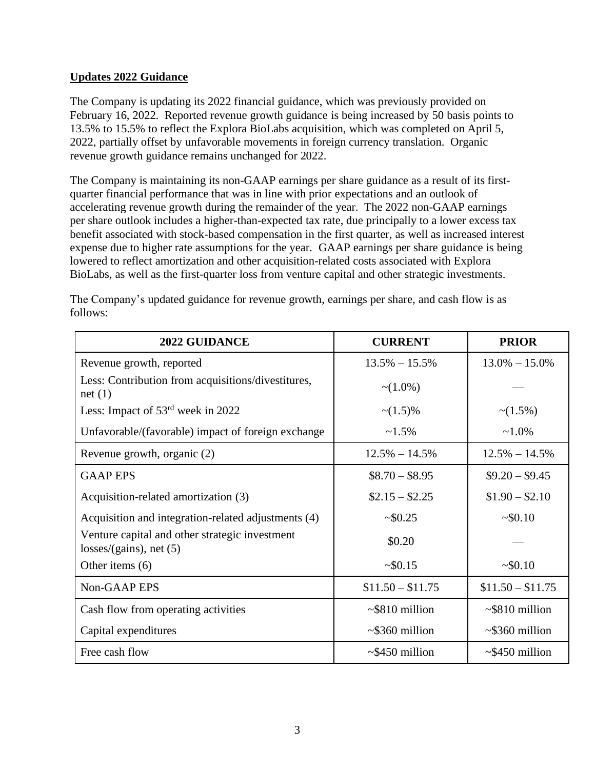# **Updates 2022 Guidance**

The Company is updating its 2022 financial guidance, which was previously provided on February 16, 2022. Reported revenue growth guidance is being increased by 50 basis points to 13.5% to 15.5% to reflect the Explora BioLabs acquisition, which was completed on April 5, 2022, partially offset by unfavorable movements in foreign currency translation. Organic revenue growth guidance remains unchanged for 2022.

The Company is maintaining its non-GAAP earnings per share guidance as a result of its firstquarter financial performance that was in line with prior expectations and an outlook of accelerating revenue growth during the remainder of the year. The 2022 non-GAAP earnings per share outlook includes a higher-than-expected tax rate, due principally to a lower excess tax benefit associated with stock-based compensation in the first quarter, as well as increased interest expense due to higher rate assumptions for the year. GAAP earnings per share guidance is being lowered to reflect amortization and other acquisition-related costs associated with Explora BioLabs, as well as the first-quarter loss from venture capital and other strategic investments.

The Company's updated guidance for revenue growth, earnings per share, and cash flow is as follows:

| <b>2022 GUIDANCE</b>                                                            | <b>CURRENT</b>       | <b>PRIOR</b>         |
|---------------------------------------------------------------------------------|----------------------|----------------------|
| Revenue growth, reported                                                        | $13.5\% - 15.5\%$    | $13.0\% - 15.0\%$    |
| Less: Contribution from acquisitions/divestitures,<br>net(1)                    | $\sim (1.0\%)$       |                      |
| Less: Impact of $53rd$ week in 2022                                             | $\sim (1.5)\%$       | $\sim (1.5\%)$       |
| Unfavorable/(favorable) impact of foreign exchange                              | $~1.5\%$             | $~1.0\%$             |
| Revenue growth, organic (2)                                                     | $12.5\% - 14.5\%$    | $12.5\% - 14.5\%$    |
| <b>GAAP EPS</b>                                                                 | $$8.70 - $8.95$      | $$9.20 - $9.45$      |
| Acquisition-related amortization (3)                                            | $$2.15 - $2.25$      | $$1.90 - $2.10$      |
| Acquisition and integration-related adjustments (4)                             | ~50.25               | ~50.10               |
| Venture capital and other strategic investment<br>losses/ $(gains)$ , net $(5)$ | \$0.20               |                      |
| Other items $(6)$                                                               | ~50.15               | ~50.10               |
| Non-GAAP EPS                                                                    | $$11.50 - $11.75$    | $$11.50 - $11.75$    |
| Cash flow from operating activities                                             | $\sim$ \$810 million | $\sim$ \$810 million |
| Capital expenditures                                                            | $\sim$ \$360 million | $\sim$ \$360 million |
| Free cash flow                                                                  | $\sim$ \$450 million | $\sim$ \$450 million |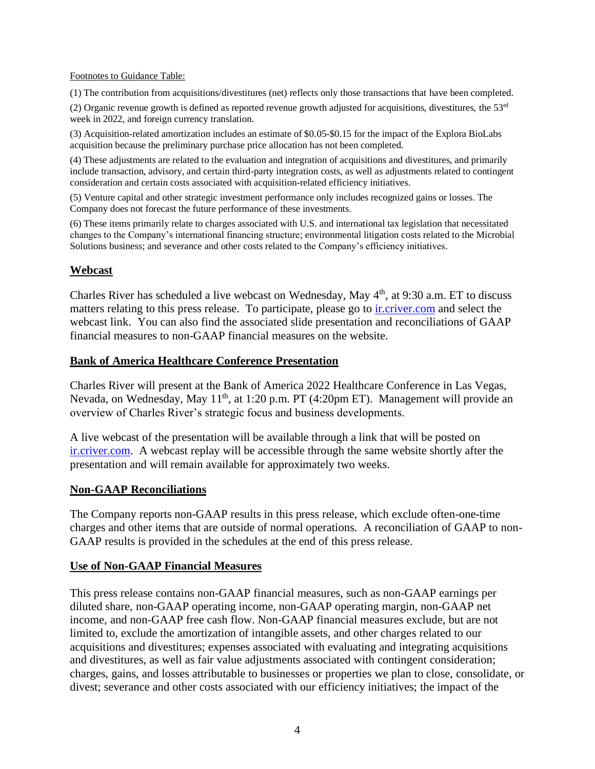Footnotes to Guidance Table:

(1) The contribution from acquisitions/divestitures (net) reflects only those transactions that have been completed.

(2) Organic revenue growth is defined as reported revenue growth adjusted for acquisitions, divestitures, the  $53<sup>rd</sup>$ week in 2022, and foreign currency translation.

(3) Acquisition-related amortization includes an estimate of \$0.05-\$0.15 for the impact of the Explora BioLabs acquisition because the preliminary purchase price allocation has not been completed.

(4) These adjustments are related to the evaluation and integration of acquisitions and divestitures, and primarily include transaction, advisory, and certain third-party integration costs, as well as adjustments related to contingent consideration and certain costs associated with acquisition-related efficiency initiatives.

(5) Venture capital and other strategic investment performance only includes recognized gains or losses. The Company does not forecast the future performance of these investments.

(6) These items primarily relate to charges associated with U.S. and international tax legislation that necessitated changes to the Company's international financing structure; environmental litigation costs related to the Microbial Solutions business; and severance and other costs related to the Company's efficiency initiatives.

# **Webcast**

Charles River has scheduled a live webcast on Wednesday, May  $4<sup>th</sup>$ , at 9:30 a.m. ET to discuss matters relating to this press release. To participate, please go to *interiver.com* and select the webcast link. You can also find the associated slide presentation and reconciliations of GAAP financial measures to non-GAAP financial measures on the website.

## **Bank of America Healthcare Conference Presentation**

Charles River will present at the Bank of America 2022 Healthcare Conference in Las Vegas, Nevada, on Wednesday, May 11<sup>th</sup>, at 1:20 p.m. PT (4:20pm ET). Management will provide an overview of Charles River's strategic focus and business developments.

A live webcast of the presentation will be available through a link that will be posted on [ir.criver.com.](http://ir.criver.com/) A webcast replay will be accessible through the same website shortly after the presentation and will remain available for approximately two weeks.

## **Non-GAAP Reconciliations**

The Company reports non-GAAP results in this press release, which exclude often-one-time charges and other items that are outside of normal operations. A reconciliation of GAAP to non-GAAP results is provided in the schedules at the end of this press release.

## **Use of Non-GAAP Financial Measures**

This press release contains non-GAAP financial measures, such as non-GAAP earnings per diluted share, non-GAAP operating income, non-GAAP operating margin, non-GAAP net income, and non-GAAP free cash flow. Non-GAAP financial measures exclude, but are not limited to, exclude the amortization of intangible assets, and other charges related to our acquisitions and divestitures; expenses associated with evaluating and integrating acquisitions and divestitures, as well as fair value adjustments associated with contingent consideration; charges, gains, and losses attributable to businesses or properties we plan to close, consolidate, or divest; severance and other costs associated with our efficiency initiatives; the impact of the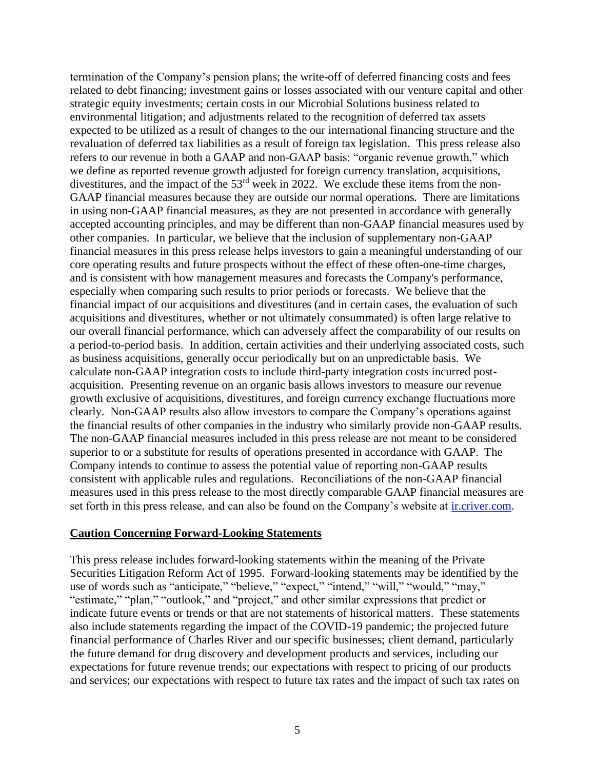termination of the Company's pension plans; the write-off of deferred financing costs and fees related to debt financing; investment gains or losses associated with our venture capital and other strategic equity investments; certain costs in our Microbial Solutions business related to environmental litigation; and adjustments related to the recognition of deferred tax assets expected to be utilized as a result of changes to the our international financing structure and the revaluation of deferred tax liabilities as a result of foreign tax legislation. This press release also refers to our revenue in both a GAAP and non-GAAP basis: "organic revenue growth," which we define as reported revenue growth adjusted for foreign currency translation, acquisitions, divestitures, and the impact of the 53<sup>rd</sup> week in 2022. We exclude these items from the non-GAAP financial measures because they are outside our normal operations. There are limitations in using non-GAAP financial measures, as they are not presented in accordance with generally accepted accounting principles, and may be different than non-GAAP financial measures used by other companies. In particular, we believe that the inclusion of supplementary non-GAAP financial measures in this press release helps investors to gain a meaningful understanding of our core operating results and future prospects without the effect of these often-one-time charges, and is consistent with how management measures and forecasts the Company's performance, especially when comparing such results to prior periods or forecasts. We believe that the financial impact of our acquisitions and divestitures (and in certain cases, the evaluation of such acquisitions and divestitures, whether or not ultimately consummated) is often large relative to our overall financial performance, which can adversely affect the comparability of our results on a period-to-period basis. In addition, certain activities and their underlying associated costs, such as business acquisitions, generally occur periodically but on an unpredictable basis. We calculate non-GAAP integration costs to include third-party integration costs incurred postacquisition. Presenting revenue on an organic basis allows investors to measure our revenue growth exclusive of acquisitions, divestitures, and foreign currency exchange fluctuations more clearly. Non-GAAP results also allow investors to compare the Company's operations against the financial results of other companies in the industry who similarly provide non-GAAP results. The non-GAAP financial measures included in this press release are not meant to be considered superior to or a substitute for results of operations presented in accordance with GAAP. The Company intends to continue to assess the potential value of reporting non-GAAP results consistent with applicable rules and regulations. Reconciliations of the non-GAAP financial measures used in this press release to the most directly comparable GAAP financial measures are set forth in this press release, and can also be found on the Company's website at [ir.criver.com.](http://ir.criver.com/phoenix.zhtml?c=121668&p=irol-irhome)

### **Caution Concerning Forward-Looking Statements**

This press release includes forward-looking statements within the meaning of the Private Securities Litigation Reform Act of 1995. Forward-looking statements may be identified by the use of words such as "anticipate," "believe," "expect," "intend," "will," "would," "may," "estimate," "plan," "outlook," and "project," and other similar expressions that predict or indicate future events or trends or that are not statements of historical matters. These statements also include statements regarding the impact of the COVID-19 pandemic; the projected future financial performance of Charles River and our specific businesses; client demand, particularly the future demand for drug discovery and development products and services, including our expectations for future revenue trends; our expectations with respect to pricing of our products and services; our expectations with respect to future tax rates and the impact of such tax rates on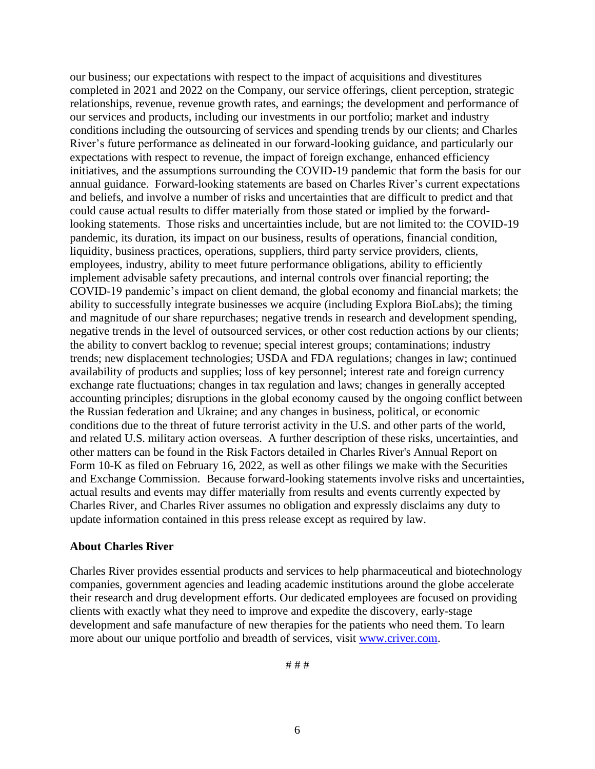our business; our expectations with respect to the impact of acquisitions and divestitures completed in 2021 and 2022 on the Company, our service offerings, client perception, strategic relationships, revenue, revenue growth rates, and earnings; the development and performance of our services and products, including our investments in our portfolio; market and industry conditions including the outsourcing of services and spending trends by our clients; and Charles River's future performance as delineated in our forward-looking guidance, and particularly our expectations with respect to revenue, the impact of foreign exchange, enhanced efficiency initiatives, and the assumptions surrounding the COVID-19 pandemic that form the basis for our annual guidance. Forward-looking statements are based on Charles River's current expectations and beliefs, and involve a number of risks and uncertainties that are difficult to predict and that could cause actual results to differ materially from those stated or implied by the forwardlooking statements. Those risks and uncertainties include, but are not limited to: the COVID-19 pandemic, its duration, its impact on our business, results of operations, financial condition, liquidity, business practices, operations, suppliers, third party service providers, clients, employees, industry, ability to meet future performance obligations, ability to efficiently implement advisable safety precautions, and internal controls over financial reporting; the COVID-19 pandemic's impact on client demand, the global economy and financial markets; the ability to successfully integrate businesses we acquire (including Explora BioLabs); the timing and magnitude of our share repurchases; negative trends in research and development spending, negative trends in the level of outsourced services, or other cost reduction actions by our clients; the ability to convert backlog to revenue; special interest groups; contaminations; industry trends; new displacement technologies; USDA and FDA regulations; changes in law; continued availability of products and supplies; loss of key personnel; interest rate and foreign currency exchange rate fluctuations; changes in tax regulation and laws; changes in generally accepted accounting principles; disruptions in the global economy caused by the ongoing conflict between the Russian federation and Ukraine; and any changes in business, political, or economic conditions due to the threat of future terrorist activity in the U.S. and other parts of the world, and related U.S. military action overseas. A further description of these risks, uncertainties, and other matters can be found in the Risk Factors detailed in Charles River's Annual Report on Form 10-K as filed on February 16, 2022, as well as other filings we make with the Securities and Exchange Commission. Because forward-looking statements involve risks and uncertainties, actual results and events may differ materially from results and events currently expected by Charles River, and Charles River assumes no obligation and expressly disclaims any duty to update information contained in this press release except as required by law.

### **About Charles River**

Charles River provides essential products and services to help pharmaceutical and biotechnology companies, government agencies and leading academic institutions around the globe accelerate their research and drug development efforts. Our dedicated employees are focused on providing clients with exactly what they need to improve and expedite the discovery, early-stage development and safe manufacture of new therapies for the patients who need them. To learn more about our unique portfolio and breadth of services, visit [www.criver.com.](http://www.criver.com/)

# # #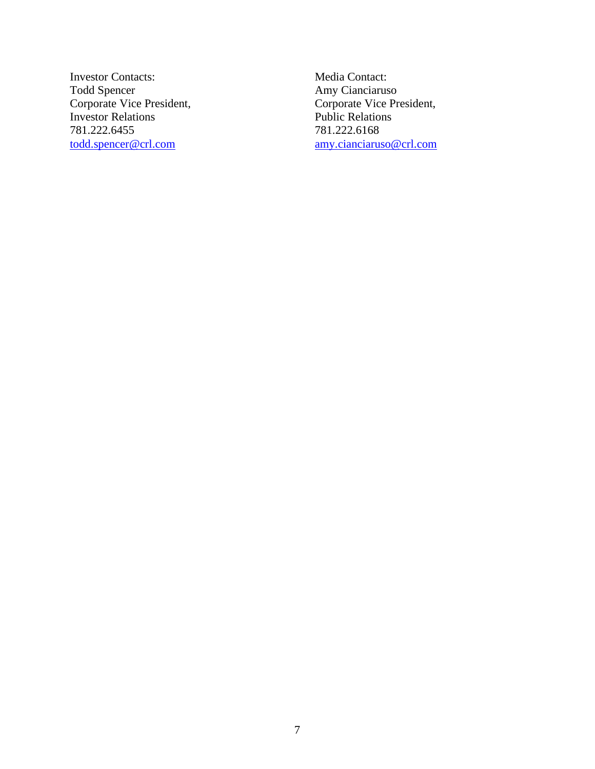Investor Contacts:<br>
Todd Spencer<br>
Amy Cianciarus<br>
Amy Cianciarus **Corporate Vice President,**<br>Investor Relations 781.222.6455 781.222.6168<br>todd.spencer@crl.com amy.cianciarus

Amy Cianciaruso Corporate Vice President,<br>Public Relations [amy.cianciaruso@crl.com](mailto:amy.cianciaruso@crl.com)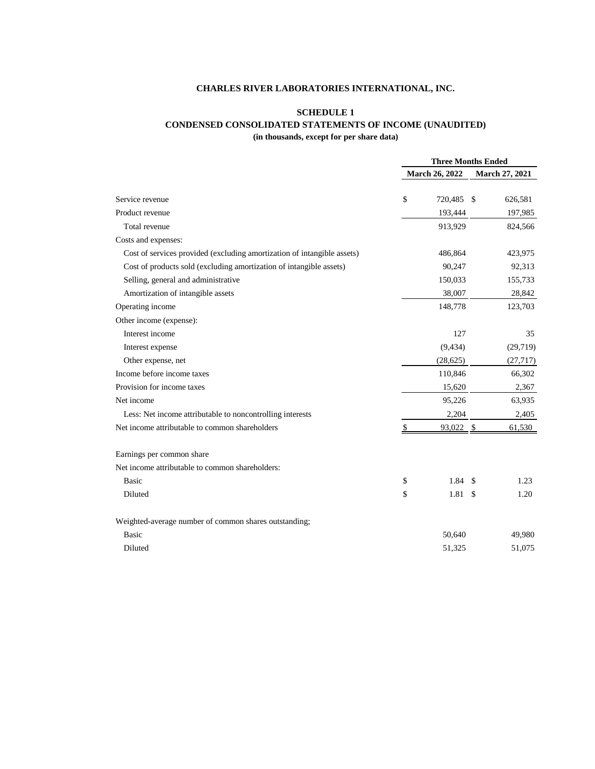## **SCHEDULE 1**

# **CONDENSED CONSOLIDATED STATEMENTS OF INCOME (UNAUDITED)**

**(in thousands, except for per share data)**

|                                                                         | <b>Three Months Ended</b> |                       |                       |           |
|-------------------------------------------------------------------------|---------------------------|-----------------------|-----------------------|-----------|
|                                                                         |                           | <b>March 26, 2022</b> | <b>March 27, 2021</b> |           |
|                                                                         |                           |                       |                       |           |
| Service revenue                                                         | \$                        | 720,485               | -S                    | 626,581   |
| Product revenue                                                         |                           | 193,444               |                       | 197,985   |
| Total revenue                                                           |                           | 913,929               |                       | 824,566   |
| Costs and expenses:                                                     |                           |                       |                       |           |
| Cost of services provided (excluding amortization of intangible assets) |                           | 486,864               |                       | 423,975   |
| Cost of products sold (excluding amortization of intangible assets)     |                           | 90,247                |                       | 92,313    |
| Selling, general and administrative                                     |                           | 150,033               |                       | 155,733   |
| Amortization of intangible assets                                       |                           | 38,007                |                       | 28,842    |
| Operating income                                                        |                           | 148,778               |                       | 123,703   |
| Other income (expense):                                                 |                           |                       |                       |           |
| Interest income                                                         |                           | 127                   |                       | 35        |
| Interest expense                                                        |                           | (9, 434)              |                       | (29,719)  |
| Other expense, net                                                      |                           | (28, 625)             |                       | (27, 717) |
| Income before income taxes                                              |                           | 110,846               |                       | 66,302    |
| Provision for income taxes                                              |                           | 15,620                |                       | 2,367     |
| Net income                                                              |                           | 95,226                |                       | 63,935    |
| Less: Net income attributable to noncontrolling interests               |                           | 2,204                 |                       | 2,405     |
| Net income attributable to common shareholders                          | -S                        | $93,022$ \$           |                       | 61,530    |
| Earnings per common share                                               |                           |                       |                       |           |
| Net income attributable to common shareholders:                         |                           |                       |                       |           |
| Basic                                                                   | \$                        | 1.84                  | <sup>\$</sup>         | 1.23      |
| Diluted                                                                 | \$                        | 1.81                  | - \$                  | 1.20      |
| Weighted-average number of common shares outstanding;                   |                           |                       |                       |           |
| <b>Basic</b>                                                            |                           | 50,640                |                       | 49,980    |
| Diluted                                                                 |                           | 51,325                |                       | 51,075    |
|                                                                         |                           |                       |                       |           |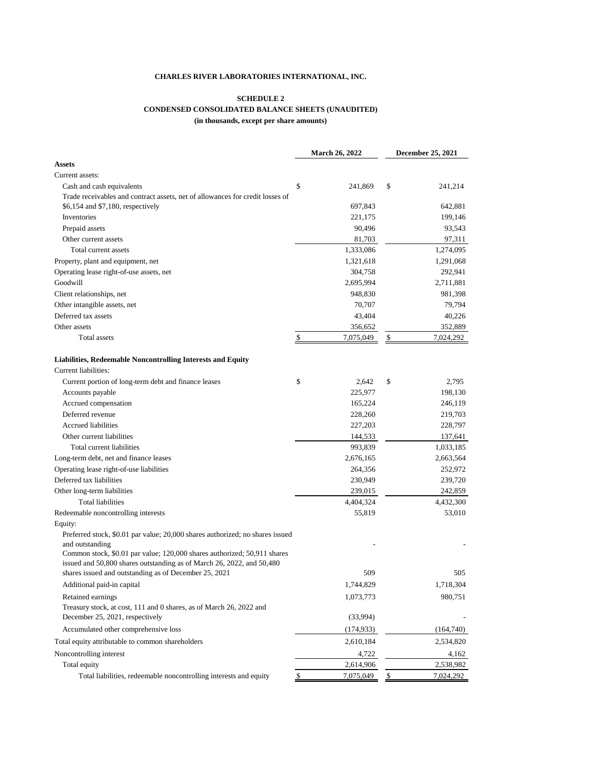### **SCHEDULE 2**

## **CONDENSED CONSOLIDATED BALANCE SHEETS (UNAUDITED)**

**(in thousands, except per share amounts)**

| <b>Assets</b><br>Current assets:<br>\$<br>\$<br>Cash and cash equivalents<br>241,869<br>241,214<br>Trade receivables and contract assets, net of allowances for credit losses of<br>\$6,154 and \$7,180, respectively<br>642,881<br>697,843<br>Inventories<br>221,175<br>199,146<br>Prepaid assets<br>90,496<br>93,543<br>97,311<br>Other current assets<br>81,703<br>Total current assets<br>1,333,086<br>1,274,095<br>Property, plant and equipment, net<br>1,321,618<br>1,291,068<br>Operating lease right-of-use assets, net<br>304,758<br>292,941<br>Goodwill<br>2,695,994<br>2,711,881<br>948,830<br>981,398<br>Other intangible assets, net<br>79,794<br>70,707<br>Deferred tax assets<br>43,404<br>40,226<br>Other assets<br>356,652<br>352,889<br><b>Total assets</b><br>7,075,049<br>7,024,292<br>\$<br>\$<br>Current liabilities:<br>\$<br>Current portion of long-term debt and finance leases<br>\$<br>2,795<br>2,642<br>Accounts payable<br>225,977<br>198,130<br>Accrued compensation<br>165,224<br>246,119<br>Deferred revenue<br>228,260<br>219,703<br><b>Accrued liabilities</b><br>227,203<br>228,797<br>Other current liabilities<br>144,533<br>137,641<br>Total current liabilities<br>993,839<br>1,033,185<br>Long-term debt, net and finance leases<br>2,676,165<br>2,663,564<br>Operating lease right-of-use liabilities<br>264,356<br>252,972<br>Deferred tax liabilities<br>230,949<br>239,720<br>Other long-term liabilities<br>239,015<br>242,859<br><b>Total liabilities</b><br>4,404,324<br>4,432,300<br>Redeemable noncontrolling interests<br>55,819<br>53,010<br>Equity:<br>Preferred stock, \$0.01 par value; 20,000 shares authorized; no shares issued<br>and outstanding<br>Common stock, \$0.01 par value; 120,000 shares authorized; 50,911 shares<br>issued and 50,800 shares outstanding as of March 26, 2022, and 50,480<br>shares issued and outstanding as of December 25, 2021<br>509<br>505<br>Additional paid-in capital<br>1,744,829<br>1,718,304<br>Retained earnings<br>980,751<br>1,073,773<br>Treasury stock, at cost, 111 and 0 shares, as of March 26, 2022 and<br>December 25, 2021, respectively<br>(33,994)<br>Accumulated other comprehensive loss<br>(164,740)<br>(174, 933) |                                                             | <b>March 26, 2022</b> | <b>December 25, 2021</b> |
|-----------------------------------------------------------------------------------------------------------------------------------------------------------------------------------------------------------------------------------------------------------------------------------------------------------------------------------------------------------------------------------------------------------------------------------------------------------------------------------------------------------------------------------------------------------------------------------------------------------------------------------------------------------------------------------------------------------------------------------------------------------------------------------------------------------------------------------------------------------------------------------------------------------------------------------------------------------------------------------------------------------------------------------------------------------------------------------------------------------------------------------------------------------------------------------------------------------------------------------------------------------------------------------------------------------------------------------------------------------------------------------------------------------------------------------------------------------------------------------------------------------------------------------------------------------------------------------------------------------------------------------------------------------------------------------------------------------------------------------------------------------------------------------------------------------------------------------------------------------------------------------------------------------------------------------------------------------------------------------------------------------------------------------------------------------------------------------------------------------------------------------------------------------------------------------------------------------------------------------------|-------------------------------------------------------------|-----------------------|--------------------------|
|                                                                                                                                                                                                                                                                                                                                                                                                                                                                                                                                                                                                                                                                                                                                                                                                                                                                                                                                                                                                                                                                                                                                                                                                                                                                                                                                                                                                                                                                                                                                                                                                                                                                                                                                                                                                                                                                                                                                                                                                                                                                                                                                                                                                                                         |                                                             |                       |                          |
|                                                                                                                                                                                                                                                                                                                                                                                                                                                                                                                                                                                                                                                                                                                                                                                                                                                                                                                                                                                                                                                                                                                                                                                                                                                                                                                                                                                                                                                                                                                                                                                                                                                                                                                                                                                                                                                                                                                                                                                                                                                                                                                                                                                                                                         |                                                             |                       |                          |
|                                                                                                                                                                                                                                                                                                                                                                                                                                                                                                                                                                                                                                                                                                                                                                                                                                                                                                                                                                                                                                                                                                                                                                                                                                                                                                                                                                                                                                                                                                                                                                                                                                                                                                                                                                                                                                                                                                                                                                                                                                                                                                                                                                                                                                         |                                                             |                       |                          |
|                                                                                                                                                                                                                                                                                                                                                                                                                                                                                                                                                                                                                                                                                                                                                                                                                                                                                                                                                                                                                                                                                                                                                                                                                                                                                                                                                                                                                                                                                                                                                                                                                                                                                                                                                                                                                                                                                                                                                                                                                                                                                                                                                                                                                                         |                                                             |                       |                          |
|                                                                                                                                                                                                                                                                                                                                                                                                                                                                                                                                                                                                                                                                                                                                                                                                                                                                                                                                                                                                                                                                                                                                                                                                                                                                                                                                                                                                                                                                                                                                                                                                                                                                                                                                                                                                                                                                                                                                                                                                                                                                                                                                                                                                                                         |                                                             |                       |                          |
|                                                                                                                                                                                                                                                                                                                                                                                                                                                                                                                                                                                                                                                                                                                                                                                                                                                                                                                                                                                                                                                                                                                                                                                                                                                                                                                                                                                                                                                                                                                                                                                                                                                                                                                                                                                                                                                                                                                                                                                                                                                                                                                                                                                                                                         |                                                             |                       |                          |
|                                                                                                                                                                                                                                                                                                                                                                                                                                                                                                                                                                                                                                                                                                                                                                                                                                                                                                                                                                                                                                                                                                                                                                                                                                                                                                                                                                                                                                                                                                                                                                                                                                                                                                                                                                                                                                                                                                                                                                                                                                                                                                                                                                                                                                         |                                                             |                       |                          |
|                                                                                                                                                                                                                                                                                                                                                                                                                                                                                                                                                                                                                                                                                                                                                                                                                                                                                                                                                                                                                                                                                                                                                                                                                                                                                                                                                                                                                                                                                                                                                                                                                                                                                                                                                                                                                                                                                                                                                                                                                                                                                                                                                                                                                                         |                                                             |                       |                          |
|                                                                                                                                                                                                                                                                                                                                                                                                                                                                                                                                                                                                                                                                                                                                                                                                                                                                                                                                                                                                                                                                                                                                                                                                                                                                                                                                                                                                                                                                                                                                                                                                                                                                                                                                                                                                                                                                                                                                                                                                                                                                                                                                                                                                                                         |                                                             |                       |                          |
|                                                                                                                                                                                                                                                                                                                                                                                                                                                                                                                                                                                                                                                                                                                                                                                                                                                                                                                                                                                                                                                                                                                                                                                                                                                                                                                                                                                                                                                                                                                                                                                                                                                                                                                                                                                                                                                                                                                                                                                                                                                                                                                                                                                                                                         |                                                             |                       |                          |
|                                                                                                                                                                                                                                                                                                                                                                                                                                                                                                                                                                                                                                                                                                                                                                                                                                                                                                                                                                                                                                                                                                                                                                                                                                                                                                                                                                                                                                                                                                                                                                                                                                                                                                                                                                                                                                                                                                                                                                                                                                                                                                                                                                                                                                         |                                                             |                       |                          |
|                                                                                                                                                                                                                                                                                                                                                                                                                                                                                                                                                                                                                                                                                                                                                                                                                                                                                                                                                                                                                                                                                                                                                                                                                                                                                                                                                                                                                                                                                                                                                                                                                                                                                                                                                                                                                                                                                                                                                                                                                                                                                                                                                                                                                                         |                                                             |                       |                          |
|                                                                                                                                                                                                                                                                                                                                                                                                                                                                                                                                                                                                                                                                                                                                                                                                                                                                                                                                                                                                                                                                                                                                                                                                                                                                                                                                                                                                                                                                                                                                                                                                                                                                                                                                                                                                                                                                                                                                                                                                                                                                                                                                                                                                                                         | Client relationships, net                                   |                       |                          |
|                                                                                                                                                                                                                                                                                                                                                                                                                                                                                                                                                                                                                                                                                                                                                                                                                                                                                                                                                                                                                                                                                                                                                                                                                                                                                                                                                                                                                                                                                                                                                                                                                                                                                                                                                                                                                                                                                                                                                                                                                                                                                                                                                                                                                                         |                                                             |                       |                          |
|                                                                                                                                                                                                                                                                                                                                                                                                                                                                                                                                                                                                                                                                                                                                                                                                                                                                                                                                                                                                                                                                                                                                                                                                                                                                                                                                                                                                                                                                                                                                                                                                                                                                                                                                                                                                                                                                                                                                                                                                                                                                                                                                                                                                                                         |                                                             |                       |                          |
|                                                                                                                                                                                                                                                                                                                                                                                                                                                                                                                                                                                                                                                                                                                                                                                                                                                                                                                                                                                                                                                                                                                                                                                                                                                                                                                                                                                                                                                                                                                                                                                                                                                                                                                                                                                                                                                                                                                                                                                                                                                                                                                                                                                                                                         |                                                             |                       |                          |
|                                                                                                                                                                                                                                                                                                                                                                                                                                                                                                                                                                                                                                                                                                                                                                                                                                                                                                                                                                                                                                                                                                                                                                                                                                                                                                                                                                                                                                                                                                                                                                                                                                                                                                                                                                                                                                                                                                                                                                                                                                                                                                                                                                                                                                         |                                                             |                       |                          |
|                                                                                                                                                                                                                                                                                                                                                                                                                                                                                                                                                                                                                                                                                                                                                                                                                                                                                                                                                                                                                                                                                                                                                                                                                                                                                                                                                                                                                                                                                                                                                                                                                                                                                                                                                                                                                                                                                                                                                                                                                                                                                                                                                                                                                                         |                                                             |                       |                          |
|                                                                                                                                                                                                                                                                                                                                                                                                                                                                                                                                                                                                                                                                                                                                                                                                                                                                                                                                                                                                                                                                                                                                                                                                                                                                                                                                                                                                                                                                                                                                                                                                                                                                                                                                                                                                                                                                                                                                                                                                                                                                                                                                                                                                                                         | Liabilities, Redeemable Noncontrolling Interests and Equity |                       |                          |
|                                                                                                                                                                                                                                                                                                                                                                                                                                                                                                                                                                                                                                                                                                                                                                                                                                                                                                                                                                                                                                                                                                                                                                                                                                                                                                                                                                                                                                                                                                                                                                                                                                                                                                                                                                                                                                                                                                                                                                                                                                                                                                                                                                                                                                         |                                                             |                       |                          |
|                                                                                                                                                                                                                                                                                                                                                                                                                                                                                                                                                                                                                                                                                                                                                                                                                                                                                                                                                                                                                                                                                                                                                                                                                                                                                                                                                                                                                                                                                                                                                                                                                                                                                                                                                                                                                                                                                                                                                                                                                                                                                                                                                                                                                                         |                                                             |                       |                          |
|                                                                                                                                                                                                                                                                                                                                                                                                                                                                                                                                                                                                                                                                                                                                                                                                                                                                                                                                                                                                                                                                                                                                                                                                                                                                                                                                                                                                                                                                                                                                                                                                                                                                                                                                                                                                                                                                                                                                                                                                                                                                                                                                                                                                                                         |                                                             |                       |                          |
|                                                                                                                                                                                                                                                                                                                                                                                                                                                                                                                                                                                                                                                                                                                                                                                                                                                                                                                                                                                                                                                                                                                                                                                                                                                                                                                                                                                                                                                                                                                                                                                                                                                                                                                                                                                                                                                                                                                                                                                                                                                                                                                                                                                                                                         |                                                             |                       |                          |
|                                                                                                                                                                                                                                                                                                                                                                                                                                                                                                                                                                                                                                                                                                                                                                                                                                                                                                                                                                                                                                                                                                                                                                                                                                                                                                                                                                                                                                                                                                                                                                                                                                                                                                                                                                                                                                                                                                                                                                                                                                                                                                                                                                                                                                         |                                                             |                       |                          |
|                                                                                                                                                                                                                                                                                                                                                                                                                                                                                                                                                                                                                                                                                                                                                                                                                                                                                                                                                                                                                                                                                                                                                                                                                                                                                                                                                                                                                                                                                                                                                                                                                                                                                                                                                                                                                                                                                                                                                                                                                                                                                                                                                                                                                                         |                                                             |                       |                          |
|                                                                                                                                                                                                                                                                                                                                                                                                                                                                                                                                                                                                                                                                                                                                                                                                                                                                                                                                                                                                                                                                                                                                                                                                                                                                                                                                                                                                                                                                                                                                                                                                                                                                                                                                                                                                                                                                                                                                                                                                                                                                                                                                                                                                                                         |                                                             |                       |                          |
|                                                                                                                                                                                                                                                                                                                                                                                                                                                                                                                                                                                                                                                                                                                                                                                                                                                                                                                                                                                                                                                                                                                                                                                                                                                                                                                                                                                                                                                                                                                                                                                                                                                                                                                                                                                                                                                                                                                                                                                                                                                                                                                                                                                                                                         |                                                             |                       |                          |
|                                                                                                                                                                                                                                                                                                                                                                                                                                                                                                                                                                                                                                                                                                                                                                                                                                                                                                                                                                                                                                                                                                                                                                                                                                                                                                                                                                                                                                                                                                                                                                                                                                                                                                                                                                                                                                                                                                                                                                                                                                                                                                                                                                                                                                         |                                                             |                       |                          |
|                                                                                                                                                                                                                                                                                                                                                                                                                                                                                                                                                                                                                                                                                                                                                                                                                                                                                                                                                                                                                                                                                                                                                                                                                                                                                                                                                                                                                                                                                                                                                                                                                                                                                                                                                                                                                                                                                                                                                                                                                                                                                                                                                                                                                                         |                                                             |                       |                          |
|                                                                                                                                                                                                                                                                                                                                                                                                                                                                                                                                                                                                                                                                                                                                                                                                                                                                                                                                                                                                                                                                                                                                                                                                                                                                                                                                                                                                                                                                                                                                                                                                                                                                                                                                                                                                                                                                                                                                                                                                                                                                                                                                                                                                                                         |                                                             |                       |                          |
|                                                                                                                                                                                                                                                                                                                                                                                                                                                                                                                                                                                                                                                                                                                                                                                                                                                                                                                                                                                                                                                                                                                                                                                                                                                                                                                                                                                                                                                                                                                                                                                                                                                                                                                                                                                                                                                                                                                                                                                                                                                                                                                                                                                                                                         |                                                             |                       |                          |
|                                                                                                                                                                                                                                                                                                                                                                                                                                                                                                                                                                                                                                                                                                                                                                                                                                                                                                                                                                                                                                                                                                                                                                                                                                                                                                                                                                                                                                                                                                                                                                                                                                                                                                                                                                                                                                                                                                                                                                                                                                                                                                                                                                                                                                         |                                                             |                       |                          |
|                                                                                                                                                                                                                                                                                                                                                                                                                                                                                                                                                                                                                                                                                                                                                                                                                                                                                                                                                                                                                                                                                                                                                                                                                                                                                                                                                                                                                                                                                                                                                                                                                                                                                                                                                                                                                                                                                                                                                                                                                                                                                                                                                                                                                                         |                                                             |                       |                          |
|                                                                                                                                                                                                                                                                                                                                                                                                                                                                                                                                                                                                                                                                                                                                                                                                                                                                                                                                                                                                                                                                                                                                                                                                                                                                                                                                                                                                                                                                                                                                                                                                                                                                                                                                                                                                                                                                                                                                                                                                                                                                                                                                                                                                                                         |                                                             |                       |                          |
|                                                                                                                                                                                                                                                                                                                                                                                                                                                                                                                                                                                                                                                                                                                                                                                                                                                                                                                                                                                                                                                                                                                                                                                                                                                                                                                                                                                                                                                                                                                                                                                                                                                                                                                                                                                                                                                                                                                                                                                                                                                                                                                                                                                                                                         |                                                             |                       |                          |
|                                                                                                                                                                                                                                                                                                                                                                                                                                                                                                                                                                                                                                                                                                                                                                                                                                                                                                                                                                                                                                                                                                                                                                                                                                                                                                                                                                                                                                                                                                                                                                                                                                                                                                                                                                                                                                                                                                                                                                                                                                                                                                                                                                                                                                         |                                                             |                       |                          |
|                                                                                                                                                                                                                                                                                                                                                                                                                                                                                                                                                                                                                                                                                                                                                                                                                                                                                                                                                                                                                                                                                                                                                                                                                                                                                                                                                                                                                                                                                                                                                                                                                                                                                                                                                                                                                                                                                                                                                                                                                                                                                                                                                                                                                                         |                                                             |                       |                          |
|                                                                                                                                                                                                                                                                                                                                                                                                                                                                                                                                                                                                                                                                                                                                                                                                                                                                                                                                                                                                                                                                                                                                                                                                                                                                                                                                                                                                                                                                                                                                                                                                                                                                                                                                                                                                                                                                                                                                                                                                                                                                                                                                                                                                                                         |                                                             |                       |                          |
|                                                                                                                                                                                                                                                                                                                                                                                                                                                                                                                                                                                                                                                                                                                                                                                                                                                                                                                                                                                                                                                                                                                                                                                                                                                                                                                                                                                                                                                                                                                                                                                                                                                                                                                                                                                                                                                                                                                                                                                                                                                                                                                                                                                                                                         |                                                             |                       |                          |
|                                                                                                                                                                                                                                                                                                                                                                                                                                                                                                                                                                                                                                                                                                                                                                                                                                                                                                                                                                                                                                                                                                                                                                                                                                                                                                                                                                                                                                                                                                                                                                                                                                                                                                                                                                                                                                                                                                                                                                                                                                                                                                                                                                                                                                         |                                                             |                       |                          |
|                                                                                                                                                                                                                                                                                                                                                                                                                                                                                                                                                                                                                                                                                                                                                                                                                                                                                                                                                                                                                                                                                                                                                                                                                                                                                                                                                                                                                                                                                                                                                                                                                                                                                                                                                                                                                                                                                                                                                                                                                                                                                                                                                                                                                                         |                                                             |                       |                          |
|                                                                                                                                                                                                                                                                                                                                                                                                                                                                                                                                                                                                                                                                                                                                                                                                                                                                                                                                                                                                                                                                                                                                                                                                                                                                                                                                                                                                                                                                                                                                                                                                                                                                                                                                                                                                                                                                                                                                                                                                                                                                                                                                                                                                                                         |                                                             |                       |                          |
|                                                                                                                                                                                                                                                                                                                                                                                                                                                                                                                                                                                                                                                                                                                                                                                                                                                                                                                                                                                                                                                                                                                                                                                                                                                                                                                                                                                                                                                                                                                                                                                                                                                                                                                                                                                                                                                                                                                                                                                                                                                                                                                                                                                                                                         |                                                             |                       |                          |
|                                                                                                                                                                                                                                                                                                                                                                                                                                                                                                                                                                                                                                                                                                                                                                                                                                                                                                                                                                                                                                                                                                                                                                                                                                                                                                                                                                                                                                                                                                                                                                                                                                                                                                                                                                                                                                                                                                                                                                                                                                                                                                                                                                                                                                         |                                                             |                       |                          |
| Total equity attributable to common shareholders<br>2,610,184<br>2,534,820                                                                                                                                                                                                                                                                                                                                                                                                                                                                                                                                                                                                                                                                                                                                                                                                                                                                                                                                                                                                                                                                                                                                                                                                                                                                                                                                                                                                                                                                                                                                                                                                                                                                                                                                                                                                                                                                                                                                                                                                                                                                                                                                                              |                                                             |                       |                          |
| Noncontrolling interest<br>4,722<br>4,162                                                                                                                                                                                                                                                                                                                                                                                                                                                                                                                                                                                                                                                                                                                                                                                                                                                                                                                                                                                                                                                                                                                                                                                                                                                                                                                                                                                                                                                                                                                                                                                                                                                                                                                                                                                                                                                                                                                                                                                                                                                                                                                                                                                               |                                                             |                       |                          |
| 2,614,906<br>2,538,982<br>Total equity                                                                                                                                                                                                                                                                                                                                                                                                                                                                                                                                                                                                                                                                                                                                                                                                                                                                                                                                                                                                                                                                                                                                                                                                                                                                                                                                                                                                                                                                                                                                                                                                                                                                                                                                                                                                                                                                                                                                                                                                                                                                                                                                                                                                  |                                                             |                       |                          |
| Total liabilities, redeemable noncontrolling interests and equity<br>\$<br>7,075,049<br>\$<br>7,024,292                                                                                                                                                                                                                                                                                                                                                                                                                                                                                                                                                                                                                                                                                                                                                                                                                                                                                                                                                                                                                                                                                                                                                                                                                                                                                                                                                                                                                                                                                                                                                                                                                                                                                                                                                                                                                                                                                                                                                                                                                                                                                                                                 |                                                             |                       |                          |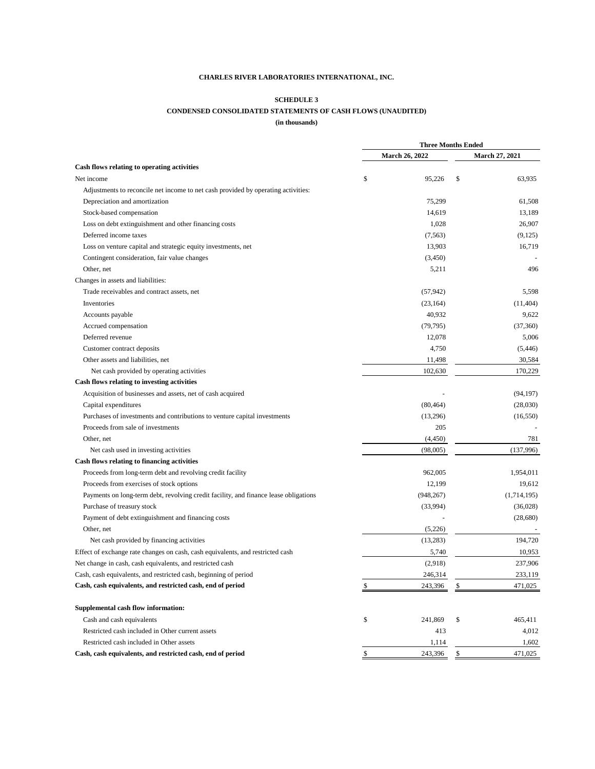### **SCHEDULE 3 CONDENSED CONSOLIDATED STATEMENTS OF CASH FLOWS (UNAUDITED)**

**(in thousands)**

|                                                                                      | <b>Three Months Ended</b> |                       |    |                       |
|--------------------------------------------------------------------------------------|---------------------------|-----------------------|----|-----------------------|
|                                                                                      |                           | <b>March 26, 2022</b> |    | <b>March 27, 2021</b> |
| Cash flows relating to operating activities                                          |                           |                       |    |                       |
| Net income                                                                           | \$                        | 95,226                | \$ | 63,935                |
| Adjustments to reconcile net income to net cash provided by operating activities:    |                           |                       |    |                       |
| Depreciation and amortization                                                        |                           | 75,299                |    | 61,508                |
| Stock-based compensation                                                             |                           | 14,619                |    | 13,189                |
| Loss on debt extinguishment and other financing costs                                |                           | 1,028                 |    | 26,907                |
| Deferred income taxes                                                                |                           | (7, 563)              |    | (9,125)               |
| Loss on venture capital and strategic equity investments, net                        |                           | 13,903                |    | 16,719                |
| Contingent consideration, fair value changes                                         |                           | (3,450)               |    |                       |
| Other, net                                                                           |                           | 5,211                 |    | 496                   |
| Changes in assets and liabilities:                                                   |                           |                       |    |                       |
| Trade receivables and contract assets, net                                           |                           | (57, 942)             |    | 5,598                 |
| Inventories                                                                          |                           | (23, 164)             |    | (11,404)              |
| Accounts payable                                                                     |                           | 40,932                |    | 9,622                 |
| Accrued compensation                                                                 |                           | (79, 795)             |    | (37,360)              |
| Deferred revenue                                                                     |                           | 12,078                |    | 5,006                 |
| Customer contract deposits                                                           |                           | 4,750                 |    | (5, 446)              |
| Other assets and liabilities, net                                                    |                           | 11,498                |    | 30,584                |
| Net cash provided by operating activities                                            |                           | 102,630               |    | 170,229               |
| Cash flows relating to investing activities                                          |                           |                       |    |                       |
| Acquisition of businesses and assets, net of cash acquired                           |                           |                       |    | (94, 197)             |
| Capital expenditures                                                                 |                           | (80, 464)             |    | (28,030)              |
| Purchases of investments and contributions to venture capital investments            |                           | (13,296)              |    | (16, 550)             |
| Proceeds from sale of investments                                                    |                           | 205                   |    |                       |
| Other, net                                                                           |                           | (4,450)               |    | 781                   |
| Net cash used in investing activities                                                |                           | (98,005)              |    | (137,996)             |
| Cash flows relating to financing activities                                          |                           |                       |    |                       |
| Proceeds from long-term debt and revolving credit facility                           |                           | 962,005               |    | 1,954,011             |
| Proceeds from exercises of stock options                                             |                           | 12,199                |    | 19,612                |
| Payments on long-term debt, revolving credit facility, and finance lease obligations |                           | (948, 267)            |    | (1,714,195)           |
| Purchase of treasury stock                                                           |                           | (33,994)              |    | (36,028)              |
| Payment of debt extinguishment and financing costs                                   |                           |                       |    | (28,680)              |
| Other, net                                                                           |                           | (5,226)               |    |                       |
| Net cash provided by financing activities                                            |                           | (13,283)              |    | 194,720               |
| Effect of exchange rate changes on cash, cash equivalents, and restricted cash       |                           | 5,740                 |    | 10,953                |
| Net change in cash, cash equivalents, and restricted cash                            |                           | (2,918)               |    | 237,906               |
| Cash, cash equivalents, and restricted cash, beginning of period                     |                           | 246,314               |    | 233,119               |
|                                                                                      |                           |                       |    |                       |
| Cash, cash equivalents, and restricted cash, end of period                           |                           | 243,396               |    | 471,025               |
| Supplemental cash flow information:                                                  |                           |                       |    |                       |
| Cash and cash equivalents                                                            | \$                        | 241,869               | \$ | 465,411               |
| Restricted cash included in Other current assets                                     |                           | 413                   |    | 4,012                 |
| Restricted cash included in Other assets                                             |                           | 1,114                 |    | 1,602                 |
| Cash, cash equivalents, and restricted cash, end of period                           | \$                        | 243,396               | \$ | 471,025               |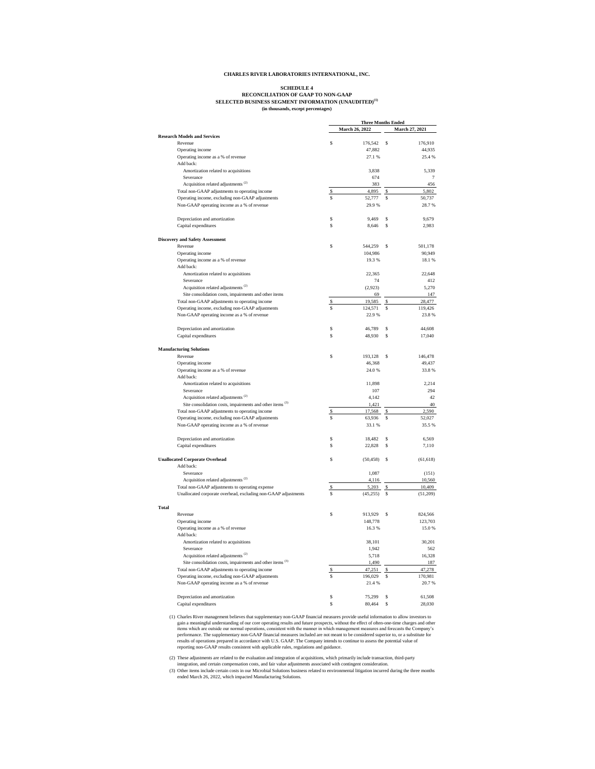### **SCHEDULE 4**

### **SELECTED BUSINESS SEGMENT INFORMATION (UNAUDITED)<sup>(1)</sup> (in thousands, except percentages)**

|              |                                                                                                             |         |                   | <b>Three Months Ended</b> |                       |
|--------------|-------------------------------------------------------------------------------------------------------------|---------|-------------------|---------------------------|-----------------------|
|              |                                                                                                             |         | March 26, 2022    |                           | <b>March 27, 2021</b> |
|              | <b>Research Models and Services</b>                                                                         |         |                   |                           |                       |
|              | Revenue                                                                                                     | \$      | 176,542<br>47,882 | \$                        | 176,910<br>44,935     |
|              | Operating income<br>Operating income as a % of revenue                                                      |         | 27.1%             |                           | 25.4 %                |
|              | Add back:                                                                                                   |         |                   |                           |                       |
|              | Amortization related to acquisitions                                                                        |         | 3,838             |                           | 5,339                 |
|              | Severance                                                                                                   |         | 674               |                           | $\overline{7}$        |
|              | Acquisition related adjustments <sup>(2)</sup>                                                              |         | 383               |                           | 456                   |
|              | Total non-GAAP adjustments to operating income                                                              | \$      | 4,895             | \$                        | 5,802                 |
|              | Operating income, excluding non-GAAP adjustments                                                            | \$.     | 52,777            | \$                        | 50,737                |
|              | Non-GAAP operating income as a % of revenue                                                                 |         | 29.9%             |                           | 28.7%                 |
|              | Depreciation and amortization                                                                               | \$.     | 9,469             | \$                        | 9,679                 |
|              | Capital expenditures                                                                                        | \$.     | 8,646             | \$                        | 2,983                 |
|              |                                                                                                             |         |                   |                           |                       |
|              | <b>Discovery and Safety Assessment</b><br>Revenue                                                           | \$      | 544,259           | \$                        | 501,178               |
|              | Operating income                                                                                            |         | 104,986           |                           | 90,949                |
|              | Operating income as a % of revenue                                                                          |         | 19.3%             |                           | 18.1%                 |
|              | Add back:                                                                                                   |         |                   |                           |                       |
|              | Amortization related to acquisitions                                                                        |         | 22,365            |                           | 22,648                |
|              | Severance                                                                                                   |         | 74                |                           | 412                   |
|              | Acquisition related adjustments <sup>(2)</sup>                                                              |         | (2,923)           |                           | 5,270                 |
|              | Site consolidation costs, impairments and other items                                                       |         | 69                |                           | 147                   |
|              | Total non-GAAP adjustments to operating income                                                              | \$      | 19,585            | \$                        | 28,477                |
|              | Operating income, excluding non-GAAP adjustments                                                            | \$      | 124,571           | \$                        | 119,426               |
|              | Non-GAAP operating income as a % of revenue                                                                 |         | 22.9%             |                           | 23.8%                 |
|              | Depreciation and amortization                                                                               | Ś       | 46,789            | \$                        | 44,608                |
|              | Capital expenditures                                                                                        | \$      | 48,930            | \$                        | 17,040                |
|              | <b>Manufacturing Solutions</b>                                                                              |         |                   |                           |                       |
|              | Revenue                                                                                                     | \$      | 193,128           | \$.                       | 146,478               |
|              | Operating income                                                                                            |         | 46,368            |                           | 49,437                |
|              | Operating income as a % of revenue                                                                          |         | 24.0%             |                           | 33.8%                 |
|              | Add back:                                                                                                   |         |                   |                           |                       |
|              | Amortization related to acquisitions                                                                        |         | 11,898            |                           | 2,214                 |
|              | Severance                                                                                                   |         | 107               |                           | 294                   |
|              | Acquisition related adjustments <sup>(2)</sup>                                                              |         | 4,142             |                           | 42<br>40              |
|              | Site consolidation costs, impairments and other items (3)<br>Total non-GAAP adjustments to operating income |         | 1,421             |                           | 2,590                 |
|              | Operating income, excluding non-GAAP adjustments                                                            | S<br>\$ | 17,568<br>63,936  | \$<br>\$.                 | 52,027                |
|              | Non-GAAP operating income as a % of revenue                                                                 |         | 33.1 %            |                           | 35.5%                 |
|              |                                                                                                             | \$.     |                   | \$                        |                       |
|              | Depreciation and amortization<br>Capital expenditures                                                       | S       | 18,482<br>22,828  | \$                        | 6,569<br>7,110        |
|              |                                                                                                             |         |                   |                           |                       |
|              | <b>Unallocated Corporate Overhead</b>                                                                       | \$      | (50, 458)         | S                         | (61, 618)             |
|              | Add back:<br>Severance                                                                                      |         | 1,087             |                           | (151)                 |
|              | Acquisition related adjustments <sup>(2)</sup>                                                              |         | 4,116             |                           | 10,560                |
|              | Total non-GAAP adjustments to operating expense                                                             | S       | 5,203             | \$                        | 10,409                |
|              | Unallocated corporate overhead, excluding non-GAAP adjustments                                              | \$.     | (45, 255)         | \$                        | (51,209)              |
|              |                                                                                                             |         |                   |                           |                       |
| <b>Total</b> | Revenue                                                                                                     | \$      | 913,929           | \$                        | 824,566               |
|              | Operating income                                                                                            |         | 148,778           |                           | 123,703               |
|              | Operating income as a % of revenue                                                                          |         | 16.3%             |                           | 15.0%                 |
|              | Add back:                                                                                                   |         |                   |                           |                       |
|              | Amortization related to acquisitions                                                                        |         | 38,101            |                           | 30,201                |
|              | Severance                                                                                                   |         | 1,942             |                           | 562                   |
|              | Acquisition related adjustments <sup>(2)</sup>                                                              |         | 5,718             |                           | 16,328                |
|              | Site consolidation costs, impairments and other items <sup>(3)</sup>                                        |         | 1,490             |                           | 187                   |
|              | Total non-GAAP adjustments to operating income                                                              | S<br>Š  | 47,251            | \$                        | 47,278                |
|              | Operating income, excluding non-GAAP adjustments                                                            |         | 196,029<br>21.4%  | \$                        | 170,981               |
|              | Non-GAAP operating income as a % of revenue                                                                 |         |                   |                           | 20.7%                 |
|              | Depreciation and amortization                                                                               | \$      | 75.299            | \$.                       | 61,508                |
|              | Capital expenditures                                                                                        | \$      | 80,464            | Ś                         | 28,030                |

(1) Charles River management believes that supplementary non-GAAP financial measures provide useful information to allow investors to gain a meaningful understanding of our core operating results and future prospects, wit

(2)

 (3) These adjustments are related to the evaluation and integration of acquisitions, which primarily include transaction, third-party<br>integration, and certain compensation costs, and fair value adjustments associated with cont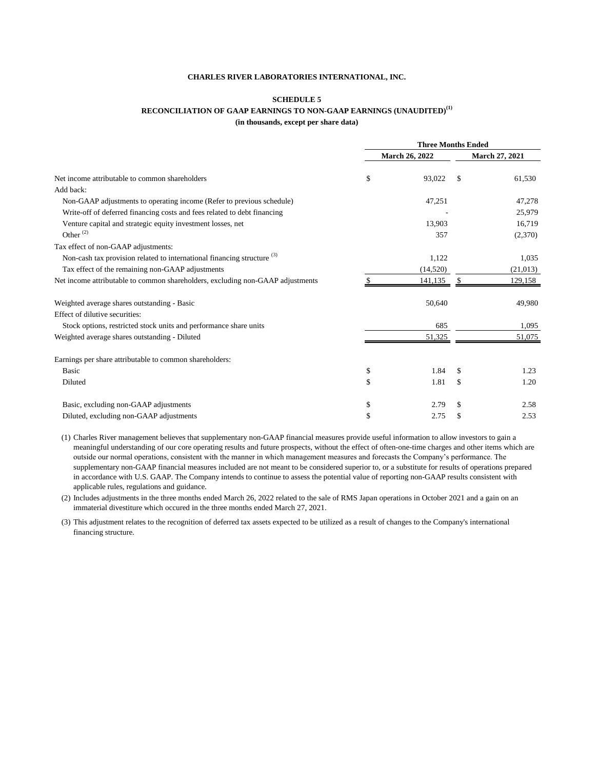### **SCHEDULE 5**

### **RECONCILIATION OF GAAP EARNINGS TO NON-GAAP EARNINGS (UNAUDITED)(1)**

**(in thousands, except per share data)**

|                                                                                    | <b>Three Months Ended</b> |                       |     |                       |  |
|------------------------------------------------------------------------------------|---------------------------|-----------------------|-----|-----------------------|--|
|                                                                                    |                           | <b>March 26, 2022</b> |     | <b>March 27, 2021</b> |  |
| Net income attributable to common shareholders                                     | \$                        | 93,022                | \$  | 61,530                |  |
| Add back:                                                                          |                           |                       |     |                       |  |
| Non-GAAP adjustments to operating income (Refer to previous schedule)              |                           | 47,251                |     | 47,278                |  |
| Write-off of deferred financing costs and fees related to debt financing           |                           |                       |     | 25,979                |  |
| Venture capital and strategic equity investment losses, net                        |                           | 13.903                |     | 16,719                |  |
| Other $^{(2)}$                                                                     |                           | 357                   |     | (2,370)               |  |
| Tax effect of non-GAAP adjustments:                                                |                           |                       |     |                       |  |
| Non-cash tax provision related to international financing structure <sup>(3)</sup> |                           | 1,122                 |     | 1,035                 |  |
| Tax effect of the remaining non-GAAP adjustments                                   |                           | (14, 520)             |     | (21, 013)             |  |
| Net income attributable to common shareholders, excluding non-GAAP adjustments     |                           | 141,135               | \$. | 129,158               |  |
| Weighted average shares outstanding - Basic                                        |                           | 50,640                |     | 49,980                |  |
| Effect of dilutive securities:                                                     |                           |                       |     |                       |  |
| Stock options, restricted stock units and performance share units                  |                           | 685                   |     | 1,095                 |  |
| Weighted average shares outstanding - Diluted                                      |                           | 51,325                |     | 51,075                |  |
| Earnings per share attributable to common shareholders:                            |                           |                       |     |                       |  |
| Basic                                                                              | \$                        | 1.84                  | \$. | 1.23                  |  |
| Diluted                                                                            | \$                        | 1.81                  | \$  | 1.20                  |  |
| Basic, excluding non-GAAP adjustments                                              | \$                        | 2.79                  | \$. | 2.58                  |  |
| Diluted, excluding non-GAAP adjustments                                            | \$                        | 2.75                  | \$  | 2.53                  |  |

 (1) Charles River management believes that supplementary non-GAAP financial measures provide useful information to allow investors to gain a meaningful understanding of our core operating results and future prospects, without the effect of often-one-time charges and other items which are outside our normal operations, consistent with the manner in which management measures and forecasts the Company's performance. The supplementary non-GAAP financial measures included are not meant to be considered superior to, or a substitute for results of operations prepared in accordance with U.S. GAAP. The Company intends to continue to assess the potential value of reporting non-GAAP results consistent with applicable rules, regulations and guidance.

 (2) Includes adjustments in the three months ended March 26, 2022 related to the sale of RMS Japan operations in October 2021 and a gain on an immaterial divestiture which occured in the three months ended March 27, 2021.

 (3) This adjustment relates to the recognition of deferred tax assets expected to be utilized as a result of changes to the Company's international financing structure.